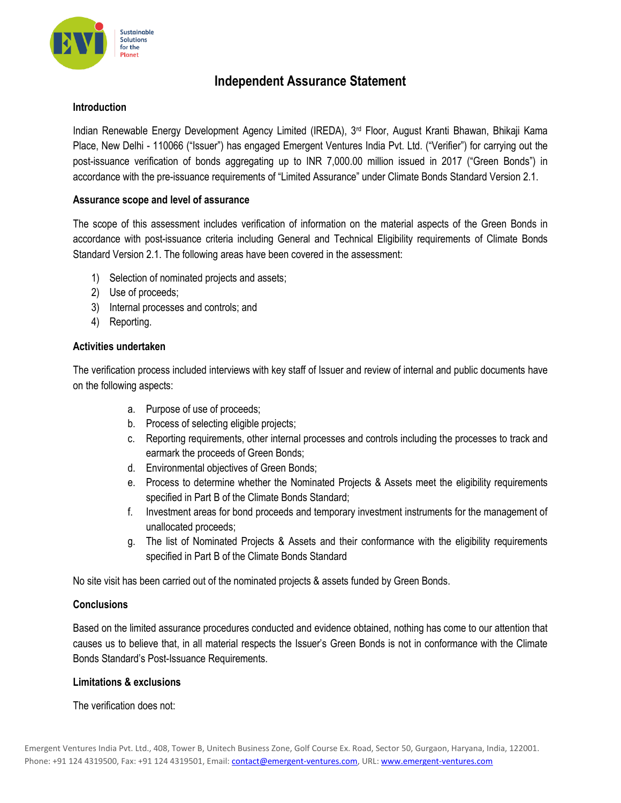

# **Independent Assurance Statement**

## **Introduction**

Indian Renewable Energy Development Agency Limited (IREDA), 3<sup>rd</sup> Floor, August Kranti Bhawan, Bhikaji Kama Place, New Delhi - 110066 ("Issuer") has engaged Emergent Ventures India Pvt. Ltd. ("Verifier") for carrying out the post-issuance verification of bonds aggregating up to INR 7,000.00 million issued in 2017 ("Green Bonds") in accordance with the pre-issuance requirements of "Limited Assurance" under Climate Bonds Standard Version 2.1.

## **Assurance scope and level of assurance**

The scope of this assessment includes verification of information on the material aspects of the Green Bonds in accordance with post-issuance criteria including General and Technical Eligibility requirements of Climate Bonds Standard Version 2.1. The following areas have been covered in the assessment:

- 1) Selection of nominated projects and assets;
- 2) Use of proceeds;
- 3) Internal processes and controls; and
- 4) Reporting.

# **Activities undertaken**

The verification process included interviews with key staff of Issuer and review of internal and public documents have on the following aspects:

- a. Purpose of use of proceeds;
- b. Process of selecting eligible projects;
- c. Reporting requirements, other internal processes and controls including the processes to track and earmark the proceeds of Green Bonds;
- d. Environmental objectives of Green Bonds;
- e. Process to determine whether the Nominated Projects & Assets meet the eligibility requirements specified in Part B of the Climate Bonds Standard;
- f. Investment areas for bond proceeds and temporary investment instruments for the management of unallocated proceeds;
- g. The list of Nominated Projects & Assets and their conformance with the eligibility requirements specified in Part B of the Climate Bonds Standard

No site visit has been carried out of the nominated projects & assets funded by Green Bonds.

# **Conclusions**

Based on the limited assurance procedures conducted and evidence obtained, nothing has come to our attention that causes us to believe that, in all material respects the Issuer's Green Bonds is not in conformance with the Climate Bonds Standard's Post-Issuance Requirements.

#### **Limitations & exclusions**

The verification does not: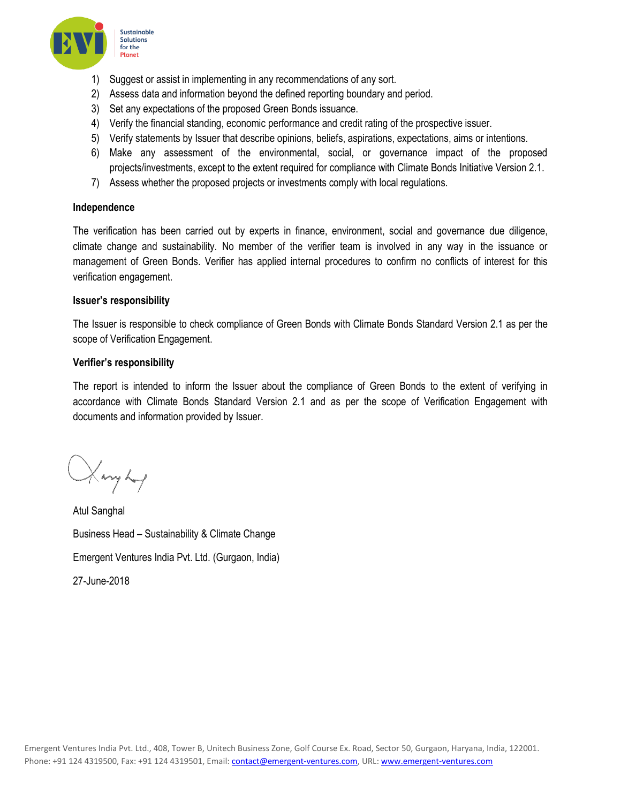

- 1) Suggest or assist in implementing in any recommendations of any sort.
- 2) Assess data and information beyond the defined reporting boundary and period.
- 3) Set any expectations of the proposed Green Bonds issuance.
- 4) Verify the financial standing, economic performance and credit rating of the prospective issuer.
- 5) Verify statements by Issuer that describe opinions, beliefs, aspirations, expectations, aims or intentions.
- 6) Make any assessment of the environmental, social, or governance impact of the proposed projects/investments, except to the extent required for compliance with Climate Bonds Initiative Version 2.1.
- 7) Assess whether the proposed projects or investments comply with local regulations.

#### **Independence**

The verification has been carried out by experts in finance, environment, social and governance due diligence, climate change and sustainability. No member of the verifier team is involved in any way in the issuance or management of Green Bonds. Verifier has applied internal procedures to confirm no conflicts of interest for this verification engagement.

#### **Issuer's responsibility**

The Issuer is responsible to check compliance of Green Bonds with Climate Bonds Standard Version 2.1 as per the scope of Verification Engagement.

#### **Verifier's responsibility**

The report is intended to inform the Issuer about the compliance of Green Bonds to the extent of verifying in accordance with Climate Bonds Standard Version 2.1 and as per the scope of Verification Engagement with documents and information provided by Issuer.

Harryhof

Atul Sanghal Business Head – Sustainability & Climate Change Emergent Ventures India Pvt. Ltd. (Gurgaon, India) 27-June-2018